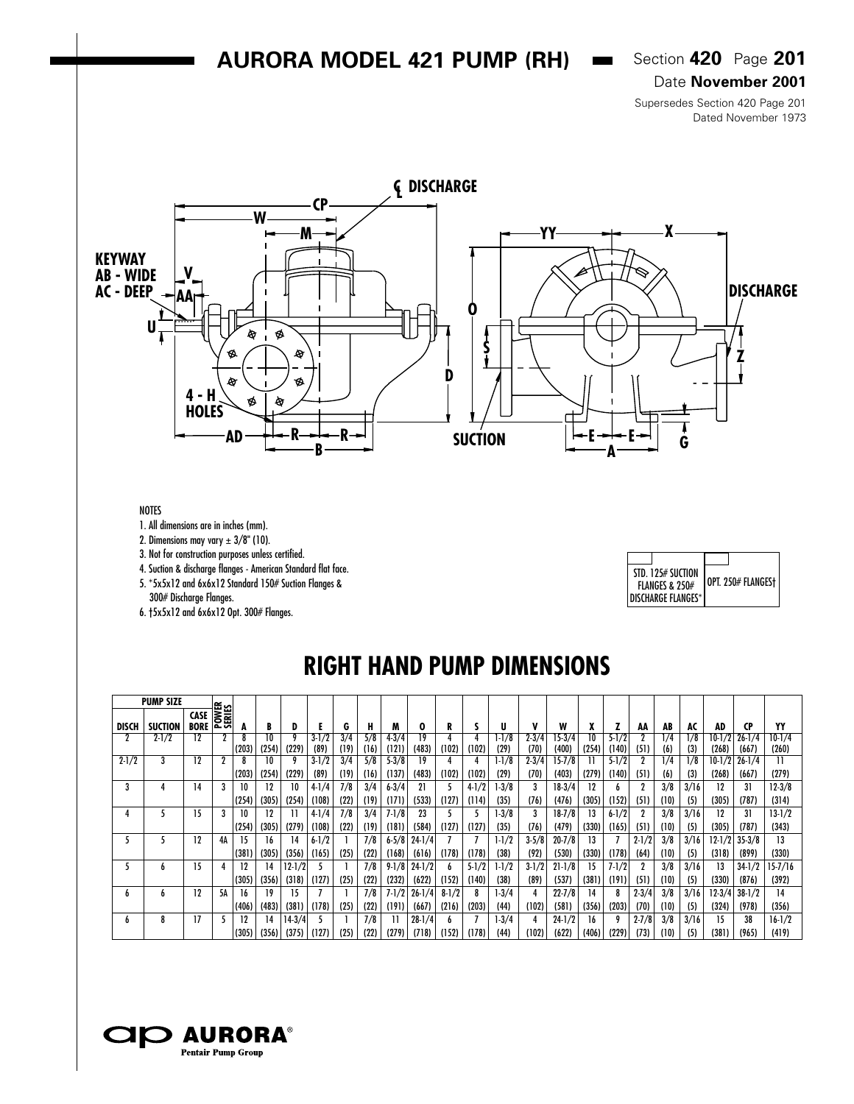### **AURORA MODEL 421 PUMP (RH)**  $\bullet$  Section 420 Page 201

Date **November 2001**

Supersedes Section 420 Page 201 Dated November 1973



#### NOTES

1. All dimensions are in inches (mm).

2. Dimensions may vary  $\pm 3/8$ " (10).

3. Not for construction purposes unless certified.

4. Suction & discharge flanges - American Standard flat face.

5. \*5x5x12 and 6x6x12 Standard 150# Suction Flanges &

300# Discharge Flanges.

6. †5x5x12 and 6x6x12 Opt. 300# Flanges.

| STD. 125# SUCTION<br><b>FLANGES &amp; 250#</b> | OPT. 250# FLANGESt |
|------------------------------------------------|--------------------|
| DISCHARGE FLANGES*                             |                    |

## **RIGHT HAND PUMP DIMENSIONS**

|              | <b>PUMP SIZE</b> |                            |                 |       |       |            |           |      |      |           |            |           |           |           |           |            |       |           |           |      |      |           |            |            |
|--------------|------------------|----------------------------|-----------------|-------|-------|------------|-----------|------|------|-----------|------------|-----------|-----------|-----------|-----------|------------|-------|-----------|-----------|------|------|-----------|------------|------------|
| <b>DISCH</b> | <b>SUCTION</b>   | <b>CASE</b><br><b>BORE</b> | POWER<br>SERIES | А     | B     | D          |           | G    | н    | M         | 0          | R         |           | U         |           | W          | A     |           | AA        | AB   | AC   | AD        | CP         | YY         |
|              | $2 - 1/2$        | 12                         | 2               |       | 10    |            | $3 - 1/2$ | 3/4  | 5/8  | $4 - 3/4$ | 19         |           |           | $-1/8$    | $2 - 3/4$ | $15 - 3/4$ | 10    | $5 - 1/2$ |           | 1/4  | /8   | $10 - 1/$ | $26 - 1/4$ | $10 - 1/4$ |
|              |                  |                            |                 | (203) | (254) | (229)      | (89)      | (19) | (16) | (121)     | (483)      | (102)     | (102)     | (29)      | (70)      | (400)      | (254) | (140)     | (51)      | (6)  | (3)  | (268)     | (667       | (260)      |
| $2 - 1/2$    | 3                | 12                         |                 | 8     | 10    |            | $3 - 1/2$ | 3/4  | 5/8  | $5 - 3/8$ | 19         |           |           | $1-1/8$   | $2 - 3/4$ | $15 - 7/8$ |       | $5 - 1/2$ |           | 1/4  | 1/8  | $10-1/2$  | $26 - 1/4$ | 11         |
|              |                  |                            |                 | (203) | (254) | (229)      | (89)      | (19) | (16) | (137)     | (483)      | (102)     | (102)     | (29)      | (70)      | (403)      | (279) | (140)     | (51)      | (6)  | (3)  | (268)     | (667       | (279)      |
|              | 4                | 14                         |                 | 10    | 12    | 10         | $4-1/4$   | 7/8  | 3/4  | $6 - 3/4$ | 21         |           | $4-1/2$   | $-3/8$    |           | $18-3/4$   | 12    |           |           | 3/8  | 3/16 | 12        |            | $12 - 3/8$ |
|              |                  |                            |                 | (254) | (305) | (254)      | (108)     | (22) | (19) | (171)     | (533)      | (127)     | (114)     | (35)      | (76)      | (476)      | (305) | (152)     | (51,      | (10) | (5)  | (305)     | (787)      | (314)      |
|              |                  | 15                         |                 | 10    | 12    |            | $4-1/4$   | 7/8  | 3/4  | $7 - 1/8$ | 23         |           |           | $1-3/8$   |           | $18 - 7/8$ | 13    | $6 - 1/2$ |           | 3/8  | 3/16 | 12        |            | $13-1/2$   |
|              |                  |                            |                 | (254) | (305) | (279)      | (108)     | (22) | (19) | (181)     | (584)      | (127)     | (127)     | (35)      | (76)      | (479)      | (330) | (165)     | (51)      | (10) | (5)  | (305)     | (787       | (343)      |
|              |                  | 12                         | 4А              | 15    | 16    | 14         | $6 - 1/2$ |      | 7/8  | $6 - 5/8$ | $24 - 1/4$ |           |           | $1 - 1/2$ | $3 - 5/8$ | $20 - 7/8$ | 13    |           | $2 - 1/2$ | 3/8  | 3/16 | $12-1/2$  | $35 - 3/8$ | 13         |
|              |                  |                            |                 | (381  | (305) | (356)      | (165)     | (25) | (22) | (168)     | (616)      | (178)     | (178)     | (38)      | (92)      | (530)      | (330) | (178)     | (64)      | (10) | (5)  | (318)     | (899)      | (330)      |
|              | h                | 15                         |                 | 12    | 14    | $12 - 1/2$ |           |      | 7/8  | $9-1/8$   | $24 - 1/2$ |           | $5 - 1/2$ | $1 - 1/2$ | $3 - 1/2$ | $21 - 1/8$ | 15    | $7 - 1/2$ |           | 3/8  | 3/16 | 13        | $34 - 1/2$ | 15-7/16    |
|              |                  |                            |                 | (305) | (356) | (318)      | (127)     | (25) | (22) | (232)     | (622)      | (152)     | (140)     | (38)      | (89)      | (537)      | (38)  | (191)     | (51)      | (10) | (5)  | (330)     | (876)      | (392)      |
| b.           | b                | 12                         | 5Α              | 16    | 19    | 15         |           |      | 7/8  | $7 - 1/2$ | $26 - 1/4$ | $8 - 1/2$ |           | 1-3/4     |           | $22 - 7/8$ | 14    |           | $2 - 3/4$ | 3/8  | 3/16 | $12-3/4$  | $38 - 1/2$ | 14         |
|              |                  |                            |                 | (406) | (483) | (381)      | (178)     | (25) | (22) | (191)     | (667)      | (216)     | (203)     | (44)      | (102)     | (581)      | (356) | (203)     | (70)      | (10) | (5)  | (324)     | (978)      | (356)      |
| b.           | 8                | 17                         |                 | 12    | 14    | $14-3/4$   |           |      | 7/8  |           | $28 - 1/4$ |           |           | 1-3/4     |           | $24 - 1/2$ | 16    |           | $2 - 7/8$ | 3/8  | 3/16 | 15        | 38         | $16-1/2$   |
|              |                  |                            |                 | (305) | (356) | (375)      | (127)     | (25) | (22) | (279)     | (718)      | (152)     | (178)     | (44)      | (102)     | (622)      | (406) | (229)     | (73)      | (10) | (5)  | (381)     | (965)      | (419)      |

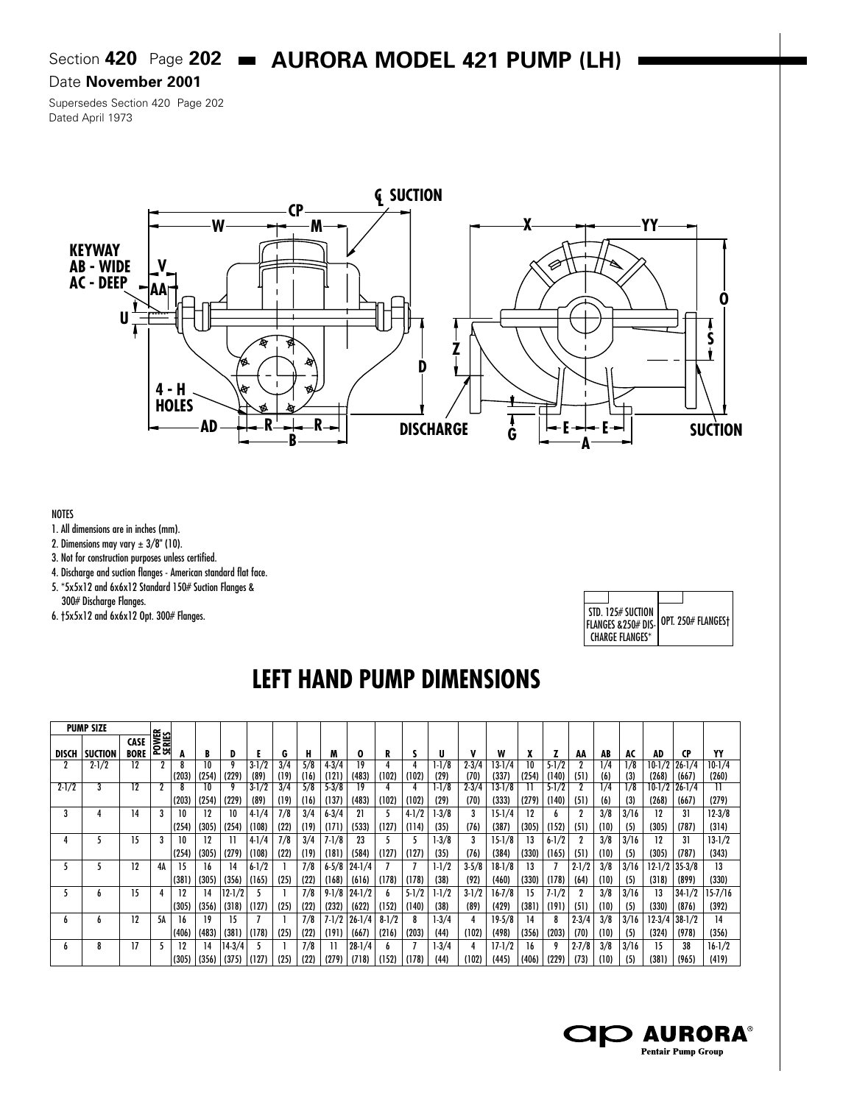# Section **420** Page **202 • AURORA MODEL 421 PUMP (LH)**

#### Date **November 2001**

Supersedes Section 420 Page 202 Dated April 1973



#### NOTES

- 1. All dimensions are in inches (mm).
- 2. Dimensions may vary  $\pm 3/8$ " (10).
- 3. Not for construction purposes unless certified.
- 4. Discharge and suction flanges American standard flat face.
- 5. \*5x5x12 and 6x6x12 Standard 150# Suction Flanges &
- 300# Discharge Flanges.
- 6. †5x5x12 and 6x6x12 Opt. 300# Flanges.

| STD. 125# SUCTION<br>FLANGES & 250# DIS- | OPT. 250# FLANGESt |
|------------------------------------------|--------------------|
| CHARGF FLANGFS*                          |                    |

# **LEFT HAND PUMP DIMENSIONS**

|              | <b>PUMP SIZE</b> |                     |                 |       |       |              |           |      |      |           |            |           |           |           |           |            |       |           |           |      |      |            |            |          |
|--------------|------------------|---------------------|-----------------|-------|-------|--------------|-----------|------|------|-----------|------------|-----------|-----------|-----------|-----------|------------|-------|-----------|-----------|------|------|------------|------------|----------|
| <b>DISCH</b> | <b>SUCTION</b>   | CASE<br><b>BORE</b> | POWER<br>SERIES | A     | B     | D            |           | G    | н    |           | Ω          |           |           | U         | v         | W          |       |           | AA        | AB   | AC   | AD         | CΡ         | YY       |
|              | $2 - 1/2$        | 12                  | 2               |       | 10    |              | $3 - 1/2$ | 3/4  | 5/8  | $4 - 3/4$ |            |           |           | $1-1/8$   | $2 - 3/4$ | $3-1/4$    | 10    | $5 - 1/2$ |           | 1/4  | l/8  | 10-1/2     | $26 - 1/4$ | $10-1/4$ |
|              |                  |                     |                 | (203) | (254) | (229)        | (89)      | (19) | (16) | (121)     | (483)      | (102)     | (102)     | (29)      | (70)      | (337)      | (254) | (140)     | (51)      | (6)  | (3)  | (268)      | (667)      | (260)    |
| $2 - 1/2$    |                  | 12                  |                 |       | 10    |              | $3 - 1/2$ | 3/4  | 5/8  | $5 - 3/8$ | 19         |           |           | 1-1/8     | $2 - 3/4$ | 13-1/8     |       | $5 - 1/2$ |           | 1/4  | 1/8  | 10-1/2     | $26 - 1/4$ | Н        |
|              |                  |                     |                 | (203) | (254) | (229)        | (89)      | (19) | (16) | (137)     | (483)      | (102)     | (102)     | (29)      | (70)      | (333)      | (279) | (140)     | (51)      | (6)  | (3)  | (268)      | (667)      | (279)    |
| 3            | 4                | 14                  | 3               | 10    | 12    | 10           | $4-1/4$   | 7/8  | 3/4  | $6 - 3/4$ | 21         |           | $4 - 1/2$ | $1-3/8$   | 3         | $15 - 1/4$ | 12    | h         |           | 3/8  | 3/16 | 12         | 31         | $12-3/8$ |
|              |                  |                     |                 | (254) | (305) | (254)        | (108)     | (22) | (19) | (171)     | (533)      | (127)     | (114)     | (35)      | (76)      | (387)      | (305) | (152)     | (51)      | (10) | (5)  | (305)      | (787)      | (314)    |
|              |                  | 15                  |                 | 10    | 12    |              | $4-1/4$   | 7/8  | 3/4  | $7 - 1/8$ | 23         |           |           | $1 - 3/8$ | 3         | $15 - 1/8$ | 13    | $6 - 1/2$ |           | 3/8  | 3/16 | 12         | 31         | $13-1/2$ |
|              |                  |                     |                 | (254) | (305) | (279)        | (108)     | (22) | (19) | (181)     | (584)      | (127)     | (127)     | (35)      | (76)      | (384)      | (330) | (165)     | (51)      | (10) | (5)  | (305)      | (787)      | (343)    |
|              |                  | 12                  | 4A              | 15    | 16    | 14           | $6 - 1/2$ |      | 7/8  | $6 - 5/8$ | $24 - 1/4$ |           |           | $1 - 1/2$ | $3 - 5/8$ | $18-1/8$   | 13    |           | $2 - 1/2$ | 3/8  | 3/16 | $12-1/2$   | $35 - 3/8$ | 13       |
|              |                  |                     |                 | (381) | (305) | (356)        | (165)     | (25) | (22) | (168)     | (616)      | (178)     | (178)     | (38)      | (92)      | (460)      | (330) | (178)     | (64)      | (10) | (5)  | (318)      | (899)      | (330)    |
|              | h.               | 15                  | 4               | 12    | 14    | $ 12 - 1/2 $ |           |      | 7/8  | $9-1/8$   | $24 - 1/2$ |           | $5 - 1/2$ | $1 - 1/2$ | $3-1/2$   | $16 - 7/8$ | 15    | $7 - 1/2$ |           | 3/8  | 3/16 | 13         | $34 - 1/2$ | 15-7/16  |
|              |                  |                     |                 | (305) | (356) | (318)        | (127)     | (25) | (22) | (232)     | (622)      | (152)     | (140)     | (38)      | (89)      | (429)      | (381) | (191)     | (51)      | (10) | (5)  | (330)      | (876)      | (392)    |
| h            | h.               | 12                  | 5Α              | 16    | 19    | 15           |           |      | 7/8  | $7 - 1/2$ | $26 - 1/4$ | $8 - 1/2$ |           | $1-3/4$   |           | $19 - 5/8$ | 14    |           | $2 - 3/4$ | 3/8  | 3/16 | $12 - 3/4$ | $38 - 1/2$ | 14       |
|              |                  |                     |                 | (406) | (483) | (381)        | (178)     | (25) | (22) | (191)     | (667)      | (216)     | (203)     | (44)      | (102)     | (498)      | (356) | (203)     | (70)      | (10) | (5)  | (324)      | (978)      | (356)    |
|              | 8                | 17                  |                 | 12    | 14    | $14-3/4$     |           |      | 7/8  |           | $28 - 1/4$ |           |           | 1-3/4     |           | $17 - 1/2$ | 16    |           | $2 - 7/8$ | 3/8  | 3/16 | 15         | 38         | $16-1/2$ |
|              |                  |                     |                 | (305) | (356) | (375) (127)  |           | (25) | (22) | (279)     | (718)      | (152)     | (178)     | (44)      | (102)     | (445)      | (406) | (229)     | (73)      | (10) | (5)  | (381)      | (965)      | (419)    |

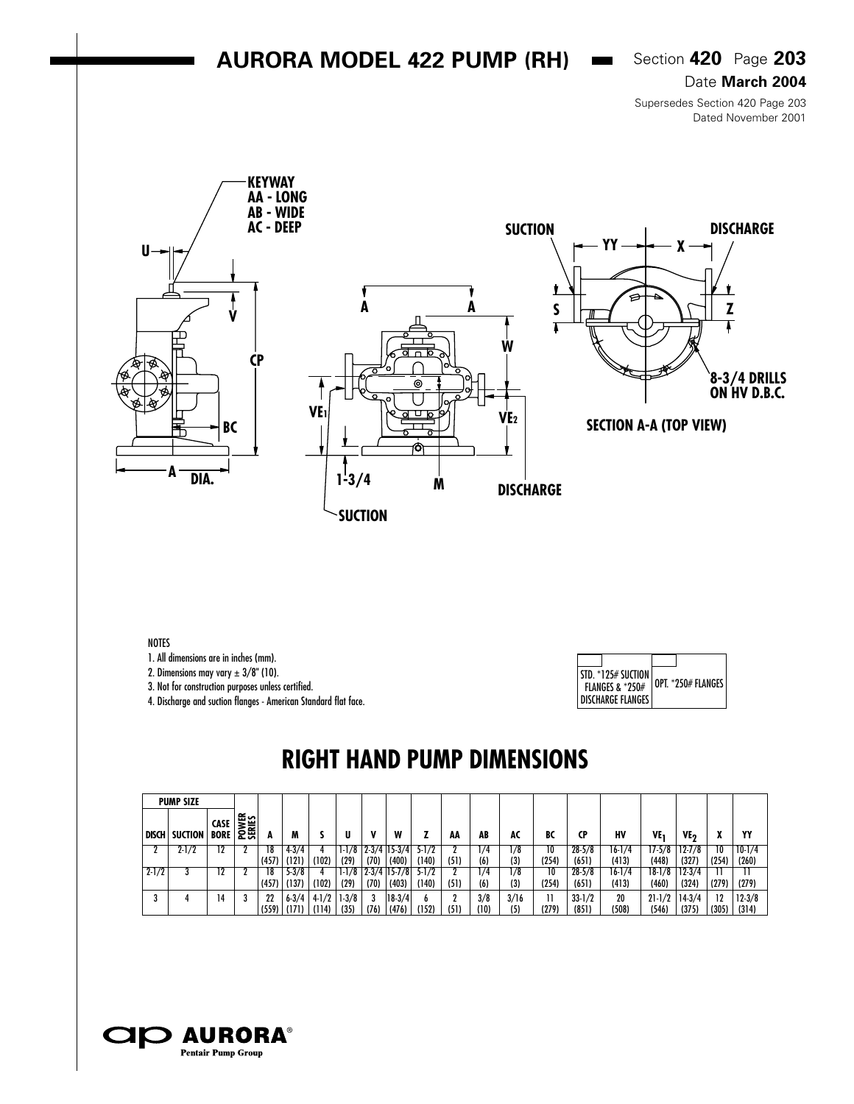### **AURORA MODEL 422 PUMP (RH)**  $\bullet$  Section 420 Page 203

Date **March 2004**

Supersedes Section 420 Page 203 Dated November 2001



NOTES

1. All dimensions are in inches (mm).

2. Dimensions may vary  $\pm 3/8$ " (10).

3. Not for construction purposes unless certified.

4. Discharge and suction flanges - American Standard flat face.

| $\vert$ STD. $\mathrm{*125\#}$ Suction $\vert$<br><b>FLANGES &amp; *250#</b><br><b>I DISCHARGE FLANGES</b> | OPT. *250# FLANGES |
|------------------------------------------------------------------------------------------------------------|--------------------|

## **RIGHT HAND PUMP DIMENSIONS**

|              | <b>PUMP SIZE</b> |              |                |             |                    |                  |                 |      |                   |           |      |             |             |             |                   |             |                     |                   |             |                     |
|--------------|------------------|--------------|----------------|-------------|--------------------|------------------|-----------------|------|-------------------|-----------|------|-------------|-------------|-------------|-------------------|-------------|---------------------|-------------------|-------------|---------------------|
| <b>DISCH</b> | <b>SUCTION</b>   | CASE<br>BORE | POWER<br>SENIS |             | M                  |                  |                 |      | W                 |           | AA   | AB          | AC          | BC          | <b>CP</b>         | H٧          | VE <sub>1</sub>     | ۷E7               |             | Y٢                  |
|              | $2 - 1/2$        | 12           |                | 18          | $4 - 3/4$          |                  | $1-1/8$         |      | $2-3/4$ 15-3/4    | $5 - 1/2$ |      | 1/4         | 1/8         | 10          | $28 - 5/8$        | $16 - 1/4$  | 17-5/8              | $12 - 7/8$        | 10          | $10-1/4$            |
|              |                  |              |                | (457)       | (121)              | (102)            | (29)            | (70) | (400)             | (140)     | (51) | (6)         | (3)         | (254)       | (651)             | (413)       | (448)               | (327)             | (254)       | (260)               |
| $2 - 1/2$    |                  |              |                | 18          | $5-3/8$            |                  |                 |      | $2-3/4$ 15-7/8    | $5 - 1/2$ |      | 1/4         | 1/8         | 10          | $28 - 5/8$        | $16 - 1/4$  | 18-1/8              | $12 - 3/4$        |             |                     |
|              |                  |              |                | (457)       | (137)              | (102)            | (29)            | (70) | (403)             | (140)     | (51) | (6)         | (3)         | (254)       | (651)             | (413)       | (460)               | (324)             | (279)       | (279)               |
|              |                  | 14           |                | 22<br>(559) | $6 - 3/4$<br>(171) | $4-1/2$<br>(114) | $1-3/8$<br>(35) | (76) | $18-3/4$<br>(476) | (152)     | (51) | 3/8<br>(10) | 3/16<br>(5) | 11<br>(279) | $33-1/2$<br>(851) | 20<br>(508) | $21 - 1/2$<br>(546) | $14-3/4$<br>(375) | 12<br>(305) | $12 - 3/8$<br>(314) |

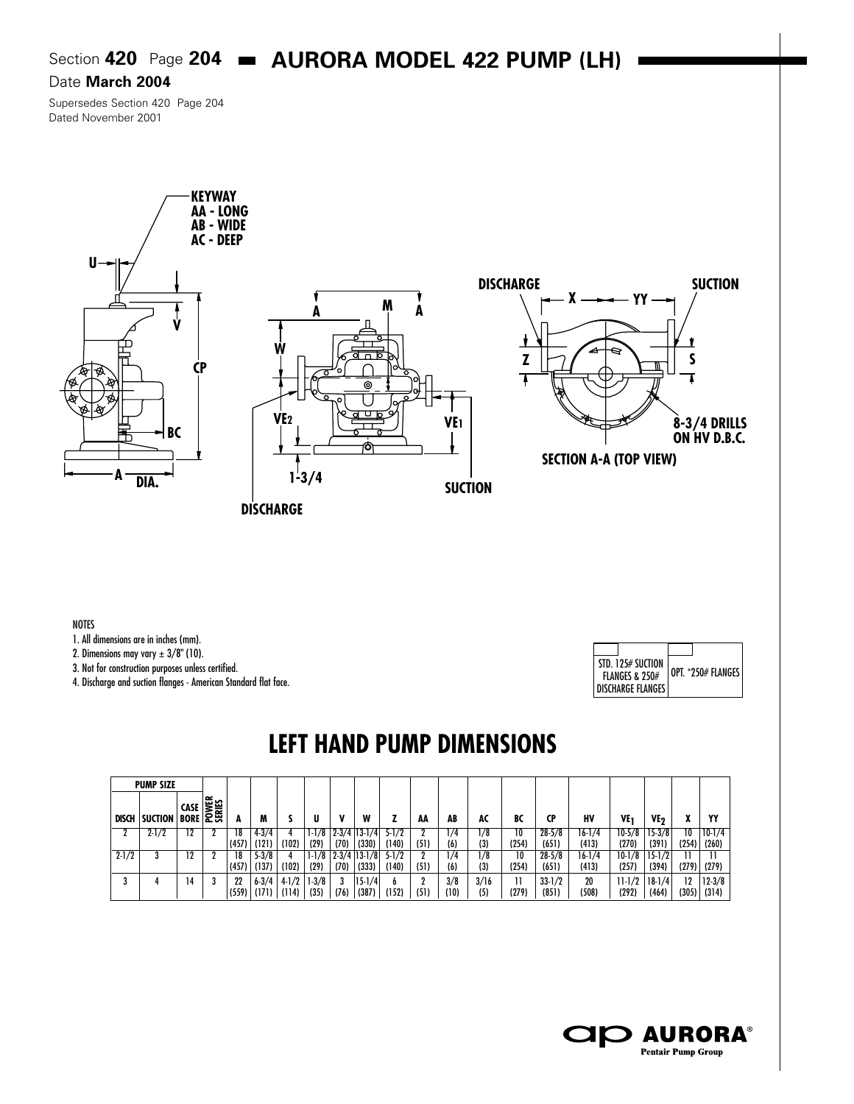### Section **420** Page **204 • AURORA MODEL 422 PUMP (LH)**

#### Date **March 2004**

Supersedes Section 420 Page 204 Dated November 2001



NOTES

1. All dimensions are in inches (mm).

2. Dimensions may vary  $\pm 3/8$ " (10).

3. Not for construction purposes unless certified.

4. Discharge and suction flanges - American Standard flat face.



# **LEFT HAND PUMP DIMENSIONS**

|              | <b>PUMP SIZE</b> |                                           |   |             |                    |                  |                 |      |                     |            |           |             |             |       |                     |             |                     |                   |             |                   |
|--------------|------------------|-------------------------------------------|---|-------------|--------------------|------------------|-----------------|------|---------------------|------------|-----------|-------------|-------------|-------|---------------------|-------------|---------------------|-------------------|-------------|-------------------|
| <b>DISCH</b> | SUCTION          | <b>CASE</b><br><b>BORE</b><br><b>BORE</b> |   |             | M                  |                  | Ш               | v    | W                   |            | AA        | AB          | AC          | BC    | CP                  | HV          | VE <sub>1</sub>     | VE <sub>2</sub>   |             | YY                |
|              | $2 - 1/2$        |                                           |   | 18          | $4 - 3/4$          |                  | $1-1/8$         |      | $2-3/4$ 13-1/4      | $5 - 1/2$  |           | 1/4         | 1/8         | 10    | $28 - 5/8$          | 16-1/4      | $10-5/8$            | $15-3/8$          | 10          | $10-1/4$          |
|              |                  |                                           |   | (457)       | (121)              | (102)            | (29)            | (70) | (330)               | (140)      | (51)      | (6)         | (3)         | (254) | (651)               | (413)       | (270)               | (391)             | (254)       | (260)             |
| $2 - 1/2$    |                  |                                           |   | 18          | $5 - 3/8$          |                  | $1-1/8$         |      | $2-3/4$  13-1/8     | $5 - 1/2$  |           | 1/4         | 1/8         | 10    | $28 - 5/8$          | 16-1/4      | $10-1/8$            | $15 - 1/2$        |             | Н                 |
|              |                  |                                           |   | (457)       | (137)              | (102)            | (29)            | (70) | (333)               | (140)      | (51)      | (6)         | (3)         | (254) | (651)               | (413)       | (257)               | (394)             | (279)       | (279)             |
| a            |                  | 14                                        | 3 | 22<br>(559) | $6 - 3/4$<br>(171) | $4-1/2$<br>(114) | $1-3/8$<br>(35) | (76) | $15 - 1/4$<br>(387) | b<br>(152) | n<br>(51) | 3/8<br>(10) | 3/16<br>(5) | (279) | $33 - 1/2$<br>(851) | 20<br>(508) | $11 - 1/2$<br>(292) | $18-1/4$<br>(464) | 12<br>(305) | $12-3/8$<br>(314) |

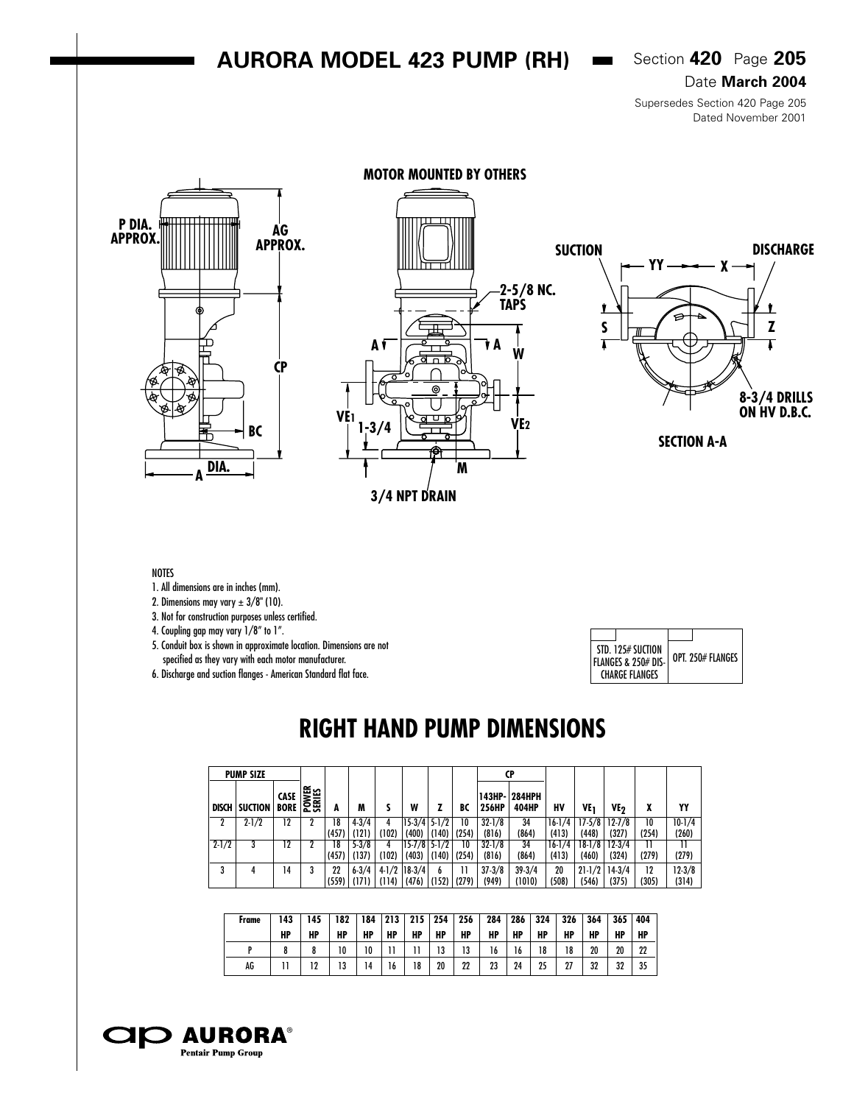### **AURORA MODEL 423 PUMP (RH)**  $\bullet$  Section 420 Page 205

Date **March 2004**

Supersedes Section 420 Page 205 Dated November 2001



#### NOTES

1. All dimensions are in inches (mm).

2. Dimensions may vary  $\pm 3/8$ " (10).

3. Not for construction purposes unless certified.

4. Coupling gap may vary 1/8" to 1".

5. Conduit box is shown in approximate location. Dimensions are not specified as they vary with each motor manufacturer.

6. Discharge and suction flanges - American Standard flat face.

| STD. 125# SUCTION<br>FLANGES & 250# DIS-<br>CHARGE FLANGES | OPT. 250# FLANGES |
|------------------------------------------------------------|-------------------|

## **RIGHT HAND PUMP DIMENSIONS**

|              | <b>PUMP SIZE</b> |                       |                 |       |           |         |                  |       |       |            | <b>CP</b>              |          |            |            |       |          |
|--------------|------------------|-----------------------|-----------------|-------|-----------|---------|------------------|-------|-------|------------|------------------------|----------|------------|------------|-------|----------|
| <b>DISCH</b> | <b>SUCTION</b>   | CASE  <br><b>BORE</b> | POWER<br>SERIES | A     | M         |         | W                |       | BC    | 256HP      | 143HP-1284HPH<br>404HP | HV       | ۷E,        | ۷E,        | X     | YY       |
|              | $2 - 1/2$        | 12                    |                 | 18    | $4 - 3/4$ |         | $15-3/4$ 5-1/2   |       | 10    | $32 - 1/8$ | 34                     | $16-1/4$ | $17-5/8$   | $12 - 7/8$ | 10    | $10-1/4$ |
|              |                  |                       |                 | (457) | (121)     | (102)   | (400)            | (140) | (254) | (816)      | (864)                  | (413)    | (448)      | (327)      | (254) | (260)    |
| $2 - 1/2$    |                  | 12                    |                 | 18    | $5 - 3/8$ |         | $15 - 7/8$ 5-1/2 |       | 10    | $32 - 1/8$ | 34                     | $16-1/4$ | $18-1/8$   | $12 - 3/4$ |       | 11       |
|              |                  |                       |                 | (457) | (137)     | (102)   | (403)            | (140) | (254) | (816)      | (864)                  | (413)    | (460)      | (324)      | (279) | (279)    |
| 3            |                  | 14                    |                 | 22    | $6 - 3/4$ | $4-1/2$ | $18-3/4$         | b     |       | $37 - 3/8$ | $39 - 3/4$             | 20       | $21 - 1/2$ | $14-3/4$   | 12    | $12-3/8$ |
|              |                  |                       |                 | (559) | (171)     | (114)   | (476)            | (152) | (279) | (949)      | (1010)                 | (508)    | (546)      | (375)      | (305) | (314)    |

| Frame | 43 | 145 | 182 | 184 | 213 | 215 | 254 | 256      | 284 | 286 | 324 | 326 | 364 | 365 | 404 |
|-------|----|-----|-----|-----|-----|-----|-----|----------|-----|-----|-----|-----|-----|-----|-----|
|       | HP | HP  | HP  | HP  | HP  | HP  | HP  | HP       | HP  | HP  | HP  | HP  | HP  | HP  | HP  |
|       |    |     | 10  | 10  |     |     | 13  | 12<br>19 | 16  | 16  | 18  | 18  | 20  | 20  | 22  |
| AG    |    | 19  | 13  | 14  | b   | 18  | 20  | 22       | 23  | 24  | 25  | 27  | 32  | 32  | 35  |

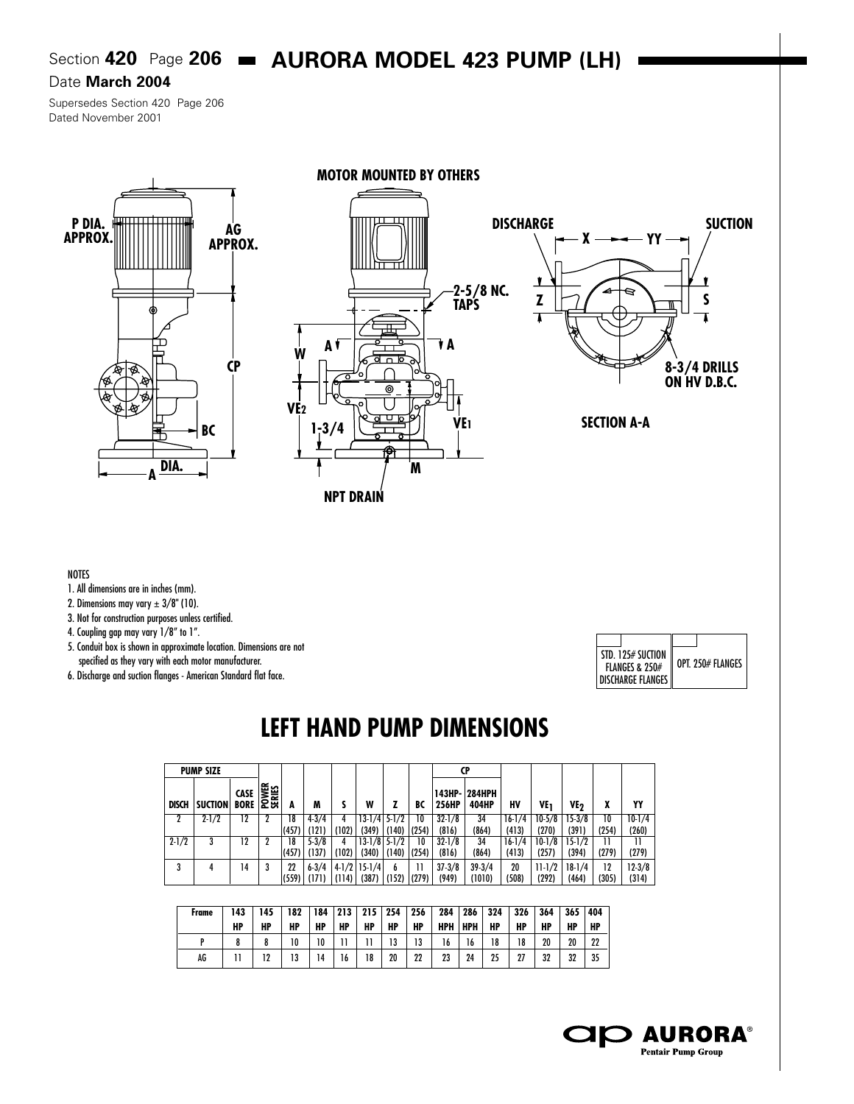## Section **420** Page 206 **AURORA MODEL 423 PUMP (LH)**

#### Date **March 2004**

Supersedes Section 420 Page 206 Dated November 2001







**SECTION A-A**

#### **NOTES**

- 1. All dimensions are in inches (mm).
- 2. Dimensions may vary  $\pm 3/8$ " (10).
- 3. Not for construction purposes unless certified.

4. Coupling gap may vary 1/8" to 1".

- 5. Conduit box is shown in approximate location. Dimensions are not specified as they vary with each motor manufacturer.
- 6. Discharge and suction flanges American Standard flat face.

| STD. 125# SUCTION<br><b>FLANGES &amp; 250#</b> | OPT. 250# FLANGES |
|------------------------------------------------|-------------------|
| <b>DISCHARGE FLANGES</b>                       |                   |

# **LEFT HAND PUMP DIMENSIONS**

|              | <b>PUMP SIZE</b> |                     |                 |       |           |       |                  |       |       |                  | CP                     |          |          |            |       |          |
|--------------|------------------|---------------------|-----------------|-------|-----------|-------|------------------|-------|-------|------------------|------------------------|----------|----------|------------|-------|----------|
| <b>DISCH</b> | <b>SUCTION</b>   | CASE<br><b>BORE</b> | POWER<br>SERIES |       | M         |       | W                |       | BC    | 143HP-1<br>256HP | <b>284HPH</b><br>404HP | HV       | VE.      | ۷E۰,       |       | YY       |
|              | $2 - 1/2$        | 12                  |                 | 18    | $4 - 3/4$ |       | $13-1/4$ 5-1/2   |       | 10    | $32 - 1/8$       | 34                     | $16-1/4$ | $10-5/8$ | $15-3/8$   | 10    | $10-1/4$ |
|              |                  |                     |                 | (457) | (121)     | (102) | (349)            | (140) | (254) | (816)            | (864)                  | (413)    | (270)    | (391)      | (254) | (260)    |
| $2 - 1/2$    |                  | 12                  |                 | 18    | $5 - 3/8$ |       | 13-1/8 5-1/2     |       | 10    | $32 - 1/8$       | 34                     | $16-1/4$ | $10-1/8$ | $15 - 1/2$ |       | 11       |
|              |                  |                     |                 | (457) | (137)     | (102) | $(340)$          | (140) | (254) | (816)            | (864)                  | (413)    | (257)    | (394)      | (279) | (279)    |
| 3            |                  | 14                  |                 | 22    | $6 - 3/4$ |       | $4-1/2$   15-1/4 | đ     | 11    | $37 - 3/8$       | $39 - 3/4$             | 20       | $11-1/2$ | $18-1/4$   | 12    | $12-3/8$ |
|              |                  |                     |                 | (559) | (171)     | (114) | $(387)$          | (152) | (279) | (949)            | (1010)                 | (508)    | (292)    | (464)      | (305) | (314)    |

| Frame | 143<br>HP | 145<br>HP | 182<br>HP | 184<br>НP | 213 <sub>1</sub><br>НP | $215$ 254<br>HP | HP | 256<br>HP | 284<br>HPH | 286<br>HPH | 324<br>HP | 326<br>HP | 364<br>HP | 365<br>HF | 404<br>HP |
|-------|-----------|-----------|-----------|-----------|------------------------|-----------------|----|-----------|------------|------------|-----------|-----------|-----------|-----------|-----------|
|       |           |           | 10        | 10        |                        |                 | 13 | 13        | 16         | 16         | 18        | 18        | 20        | 20        | 22        |
| AG    |           | 10        | 13        | 14        | 16                     | 18              | 20 | 22        | 23         | 24         | 25        | 27        | 32        | 32        | 35        |



**MOTOR MOUNTED BY OTHERS**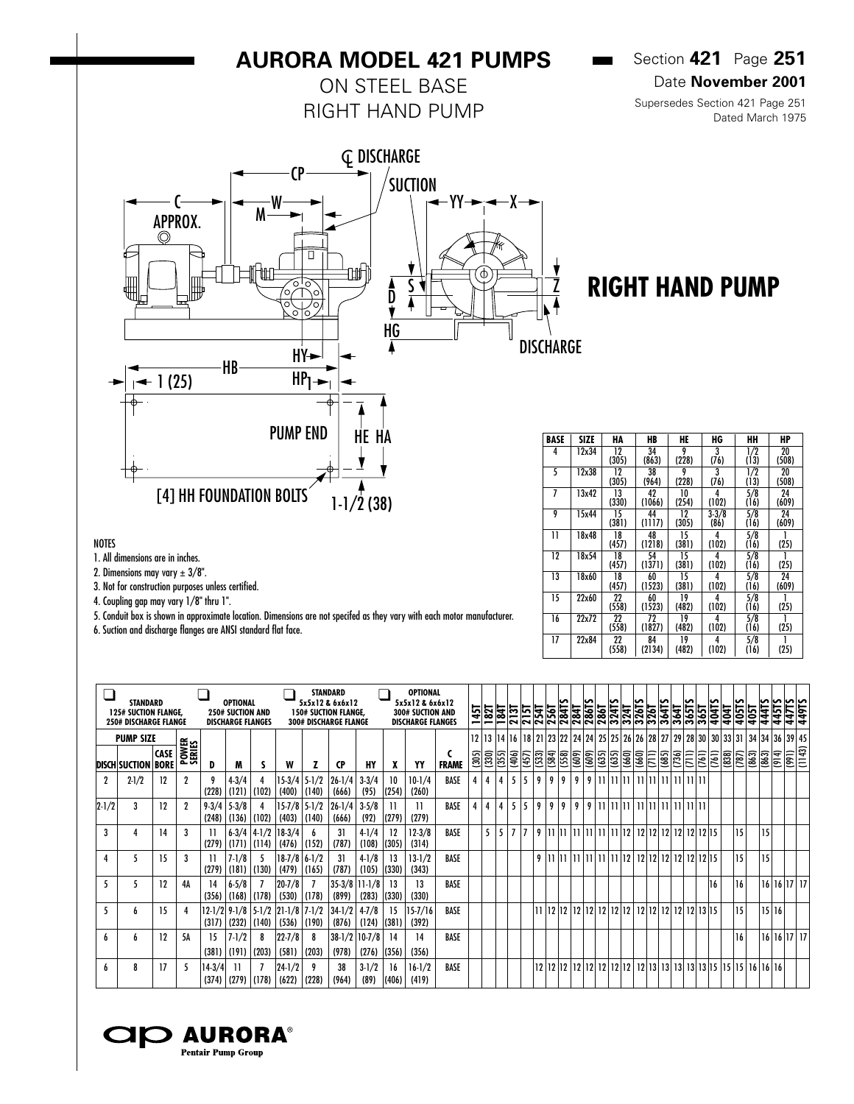## **AURORA MODEL 421 PUMPS**

ON STEEL BASE RIGHT HAND PUMP Section **421** Page **251** Date **November 2001**

**College** 

Supersedes Section 421 Page 251 Dated March 1975



# **RIGHT HAND PUMP**

| <b>BASE</b> | SIZE  | HA          | HB           | HE          | HG                | HН          | HP          |
|-------------|-------|-------------|--------------|-------------|-------------------|-------------|-------------|
| 4           | 12x34 | 12<br>(305) | 34<br>(863)  | 9<br>(228)  | 3<br>(76)         | 1/2<br>(13) | 20<br>(508) |
| 5           | 12x38 | 12<br>(305) | 38<br>(964)  | 9<br>(228)  | 3<br>(76)         | 1/2<br>(13) | 20<br>(508) |
| 7           | 13x42 | 13<br>(330) | 42<br>(1066) | 10<br>(254) | 4<br>(102)        | 5/8<br>(16) | 24<br>(609) |
| 9           | 15x44 | 15<br>(381) | 44<br>(1117) | 12<br>(305) | $3 - 3/8$<br>(86) | 5/8<br>(16) | 24<br>(609) |
| 11          | 18x48 | 18<br>(457) | 48<br>(1218) | 15<br>(381) | 4<br>(102)        | 5/8<br>(16) | (25)        |
| 12          | 18x54 | 18<br>(457) | 54<br>(1371) | 15<br>(381) | 4<br>(102)        | 5/8<br>(16) | (25)        |
| 13          | 18x60 | 18<br>(457) | 60<br>(1523) | 15<br>(381) | 4<br>(102)        | 5/8<br>(16) | 24<br>(609) |
| 15          | 22x60 | 22<br>(558) | 60<br>(1523) | 19<br>(482) | 4<br>(102)        | 5/8<br>(16) | (25)        |
| 16          | 22x72 | 22<br>(558) | 72<br>(1827) | 19<br>(482) | 4<br>(102)        | 5/8<br>(16) | (25)        |
| 17          | 22x84 | 22<br>(558) | 84<br>(2134) | 19<br>(482) | 4<br>(102)        | 5/8<br>(16) | (25)        |

 $\overline{\phantom{a}}$ 

┯

#### NOTES

1. All dimensions are in inches.

2. Dimensions may vary  $\pm 3/8$ ".

3. Not for construction purposes unless certified.

4. Coupling gap may vary 1/8" thru 1".

5. Conduit box is shown in approximate location. Dimensions are not specifed as they vary with each motor manufacturer.

6. Suction and discharge flanges are ANSI standard flat face.

| <b>250# DISCHARGE FLANGE</b> | <b>STANDARD</b><br><b>125# SUCTION FLANGE.</b> |                            |                 |                    | <b>OPTIONAL</b><br><b>250# SUCTION AND</b><br><b>DISCHARGE FLANGES</b> |                        |                               |                             | <b>STANDARD</b><br>5x5x12 & 6x6x12<br><b>150# SUCTION FLANGE,</b><br><b>300# DISCHARGE FLANGE</b> |                    |             | OPTIONAL<br>5x5x12 & 6x6x12<br>300# SUCTION AND<br><b>DISCHARGE FLANGES</b> |              |   | $\frac{1451}{1821}$ | $\frac{1847}{2137}$ |                |       |      |       |                         | ក្ត <u>្រី ដូច្នេះ ដូច្នេះ ដែល</u><br>ក្តីនិង ក្តីនិង ក្តីនិង ក្តីនិង ក្តីនិង ក្តីនិង<br>ក្តីនិង ក្តីនិង ក្តីនិង ក្តីនិង ក្តីនិង ក្តីនិង<br>ស្រុក ក្តីនិង ក្តីនិង ក្តីនិង ក្តីនិង ក្តីនិង |       |              |                 |                                  |    |                 |              |                  | $\frac{3641}{36515}$<br>$\frac{3651}{3651}$ |               | 405TS | 444TS<br>405T                                                                                                                        | ∽<br>1451    | 449TS                  |  |
|------------------------------|------------------------------------------------|----------------------------|-----------------|--------------------|------------------------------------------------------------------------|------------------------|-------------------------------|-----------------------------|---------------------------------------------------------------------------------------------------|--------------------|-------------|-----------------------------------------------------------------------------|--------------|---|---------------------|---------------------|----------------|-------|------|-------|-------------------------|-------------------------------------------------------------------------------------------------------------------------------------------------------------------------------------------|-------|--------------|-----------------|----------------------------------|----|-----------------|--------------|------------------|---------------------------------------------|---------------|-------|--------------------------------------------------------------------------------------------------------------------------------------|--------------|------------------------|--|
|                              | <b>PUMP SIZE</b>                               |                            |                 |                    |                                                                        |                        |                               |                             |                                                                                                   |                    |             |                                                                             |              |   |                     |                     |                |       |      |       |                         |                                                                                                                                                                                           |       |              |                 |                                  |    |                 |              |                  |                                             |               |       | 12   13   14   16   18   21   23   22   24   24   25   25   26   26   28   27   29   28   30   30   33   31   34   34   36   39   45 |              |                        |  |
| <b>DISCH SUCTION</b>         |                                                | <b>CASE</b><br><b>BORE</b> | POWER<br>SERIES | D                  | M                                                                      |                        | W                             |                             | CP                                                                                                | HY                 | x           | YY                                                                          | <b>FRAME</b> |   |                     | $\frac{2}{3}$       | (406)          | (457) | (53) | (584) | $\sqrt{(609)}$<br>(558) | $\overline{\frac{1}{2}}$                                                                                                                                                                  | (635) | $\sqrt{635}$ | $\frac{660}{2}$ | (660)                            | ΓE | $\overline{66}$ | $\sqrt{736}$ | $\overline{\Xi}$ | $\overline{5}$                              | $\frac{1}{2}$ | (787) | 3<br>(863)                                                                                                                           | $\sqrt{914}$ | $\frac{1}{\sqrt{143}}$ |  |
|                              | $2-1/2$                                        | 12                         |                 | (228)              | $4 - 3/4$<br>(121)                                                     | (102)                  | (400)                         | $15-3/4$ 5-1/2<br>(140)     | $26 - 1/4$<br>(666)                                                                               | $3 - 3/4$<br>(95)  | 10<br>(254) | $10-1/4$<br>(260)                                                           | BASE         |   | 4                   |                     | 5 <sup>1</sup> | 5     | 9    | 9     | 9                       | 9                                                                                                                                                                                         |       |              | $9$  11 11 11   | 11 11 11 11 11 11 11             |    |                 |              |                  |                                             |               |       |                                                                                                                                      |              |                        |  |
| $2 - 1/2$                    | 3                                              | 12                         |                 | $9 - 3/4$<br>(248) | $5 - 3/8$<br>(136)                                                     | (102)                  | (403)                         | $15 - 7/8$   5-1/2<br>(140) | $26 - 1/4$<br>(666)                                                                               | $3 - 5/8$<br>(92)  | (279)       | 11<br>(279)                                                                 | BASE         | 4 | 4                   | 4                   | 5              | 5     | 9    | 9     | 9                       | 9                                                                                                                                                                                         |       |              |                 |                                  |    |                 |              |                  |                                             |               |       |                                                                                                                                      |              |                        |  |
| 3                            |                                                | 14                         |                 | 11<br>(279)        | (171)                                                                  | $6-3/4$ 4-1/2<br>(114) | $18-3/4$<br>(476)             | (152)                       | 31<br>(787)                                                                                       | $4-1/4$<br>(108)   | 12<br>(305) | $12 - 3/8$<br>(314)                                                         | BASE         |   | 5                   | 5                   | 7 7            |       | 9    |       |                         | 11  11  11  11  11  11  12                                                                                                                                                                |       |              |                 | 12   12   12   12   12   12   15 |    |                 |              |                  |                                             |               | 15    |                                                                                                                                      | 15           |                        |  |
| 4                            |                                                | 15                         |                 | 11<br>(279)        | $7-1/8$<br>(181)                                                       | (130)                  | (479)                         | $18-7/8$ 6-1/2<br>(165)     | 31<br>(787)                                                                                       | $4-1/8$<br>(105)   | 13<br>(330) | $13-1/2$<br>(343)                                                           | BASE         |   |                     |                     |                |       | 9    |       |                         | $11$  11  11  11  11  11  12                                                                                                                                                              |       |              |                 | 12 12 12 12 12 12 13             |    |                 |              |                  |                                             |               | 15    |                                                                                                                                      | 15           |                        |  |
|                              |                                                | 12                         | 4Α              | 14<br>(356)        | $6 - 5/8$<br>(168)                                                     | (178)                  | $20 - 7/8$<br>(530)           | (178)                       | $35-3/8$  11-1/8<br>(899)                                                                         | (283)              | 13<br>(330) | 13<br>(330)                                                                 | BASE         |   |                     |                     |                |       |      |       |                         |                                                                                                                                                                                           |       |              |                 |                                  |    |                 |              |                  | 16                                          |               | 16    |                                                                                                                                      |              | 16 16 17 17            |  |
| 5                            |                                                | 15                         |                 | (317)              | $12-1/2$ 9-1/8<br>(232)                                                | (140)                  | $5-1/2$ 21-1/8 7-1/2<br>(536) | (190)                       | $34 - 1/2$<br>(876)                                                                               | $4 - 7/8$<br>(124) | 15<br>(381) | 15-7/16<br>(392)                                                            | BASE         |   |                     |                     |                |       | п    |       |                         |                                                                                                                                                                                           |       |              |                 |                                  |    |                 |              |                  |                                             |               | 15    |                                                                                                                                      | 15 16        |                        |  |
| h                            | h                                              | 12                         | 5A              | -15<br>(381)       | $7 - 1/2$<br>(191)                                                     | 8<br>(203)             | $22 - 7/8$<br>(581)           | 8<br>(203)                  | $38-1/2$   10-7/8<br>(978)                                                                        | (276)              | 14<br>(356) | 14<br>(356)                                                                 | BASE         |   |                     |                     |                |       |      |       |                         |                                                                                                                                                                                           |       |              |                 |                                  |    |                 |              |                  |                                             |               | 16    |                                                                                                                                      |              | 16 16 17 17            |  |
| h                            | 8                                              | 17                         |                 | $14-3/4$           | $(374)$ $(279)$ $(178)$                                                |                        | $24 - 1/2$                    | $(622)$ (228)               | 38<br>(964)                                                                                       | $3-1/2$<br>(89)    | 16<br>(406) | $16-1/2$<br>(419)                                                           | BASE         |   |                     |                     |                |       |      |       |                         |                                                                                                                                                                                           |       |              |                 |                                  |    |                 |              |                  |                                             |               |       |                                                                                                                                      |              |                        |  |

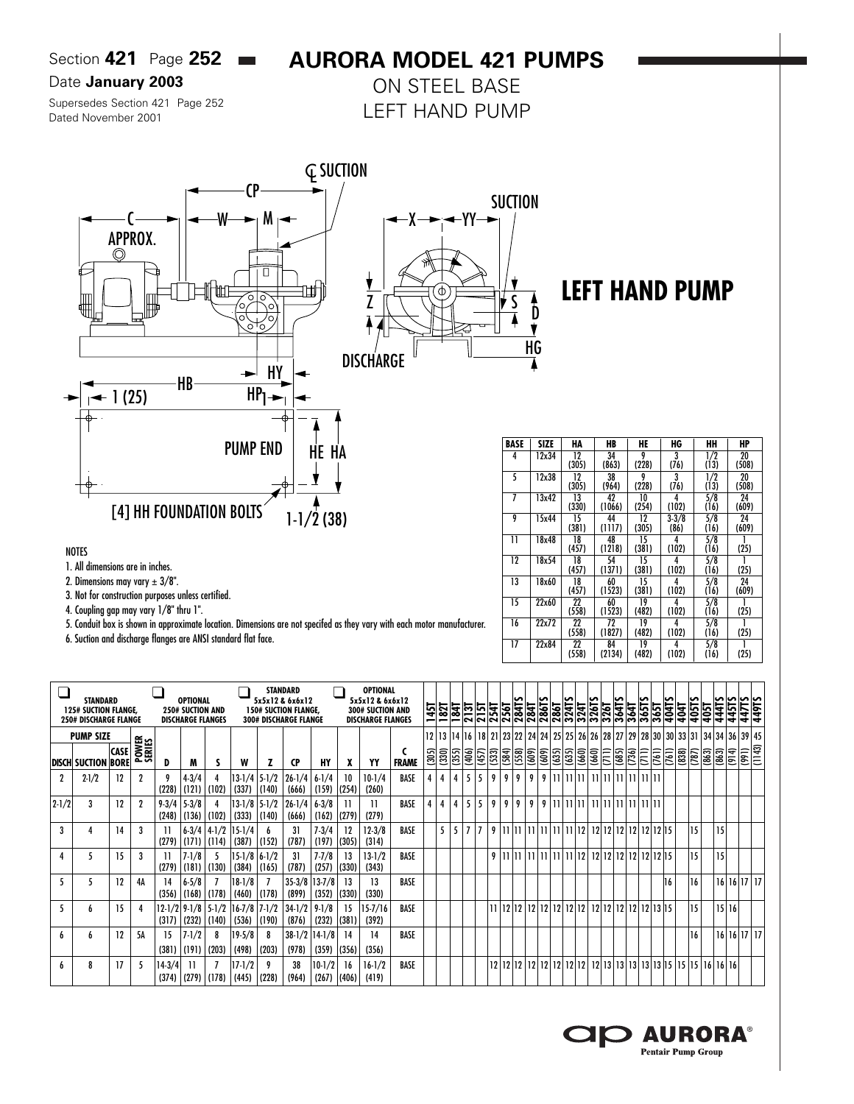Section **421** Page **252**

## **AURORA MODEL 421 PUMPS**

#### Date **January 2003**

Supersedes Section 421 Page 252 Dated November 2001

ON STEEL BASE LEFT HAND PUMP



#### NOTES

- 1. All dimensions are in inches.
- 2. Dimensions may vary  $\pm 3/8$ ".
- 3. Not for construction purposes unless certified.
- 4. Coupling gap may vary 1/8" thru 1".
- 5. Conduit box is shown in approximate location. Dimensions are not specifed as they vary with each motor manufacturer.
- 6. Suction and discharge flanges are ANSI standard flat face.

| BASE | SIZE  | HA    | HB     | HE    | HG        | HН               | HP    |
|------|-------|-------|--------|-------|-----------|------------------|-------|
| 4    | 12x34 | 12    | 34     | 9     | 3         | 1/2              | 20    |
|      |       | (305) | (863)  | (228) | (76)      | (13)             | (508) |
| 5    | 12x38 | 12    | 38     | 9     | 3         | 1/2              | 20    |
|      |       | (305) | (964)  | (228) | (76)      | (13)             | (508) |
| 7    | 13x42 | 13    | 42     | 10    | 4         | 5/8              | 24    |
|      |       | (330) | (1066) | (254) | (102)     | (16)             | (609) |
| 9    | 15x44 | 15    | 44     | 12    | $3 - 3/8$ | 5/8              | 24    |
|      |       | (381) | (1117) | (305) | (86)      | (16)             | (609) |
| 11   | 18x48 | 18    | 48     | 15    | 4         | 5/8              |       |
|      |       | (457) | (1218) | (381) | (102)     | (16)             | (25)  |
| 12   | 18x54 | 18    | 54     | 15    | 4         | $5/\overline{8}$ |       |
|      |       | (457) | (1371) | (381) | (102)     | (16)             | (25)  |
| 13   | 18x60 | 18    | 60     | 15    | 4         | 5/8              | 24    |
|      |       | (457) | (1523) | (381) | (102)     | (16)             | (609) |
| 15   | 22x60 | 22    | 60     | 19    | 4         | 5/8              |       |
|      |       | (558) | (1523) | (482) | (102)     | (16)             | (25)  |
| 16   | 22x72 | 22    | 72     | 19    | 4         | 5/8              |       |
|      |       | (558) | (1827) | (482) | (102)     | (16)             | (25)  |
| 17   | 22x84 | 22    | 84     | 19    | 4         | 5/8              | 1     |
|      |       | (558) | (2134) | (482) | (102)     | (16)             | (25)  |

**LEFT HAND PUMP**

|             | STANDARD<br><b>125# SUCTION FLANGE,</b><br><b>250# DISCHARGE FLANGE</b> |                            |                        |                    | <b>OPTIONAL</b><br><b>250# SUCTION AND</b><br><b>DISCHARGE FLANGES</b> |                    |                               |       | <b>STANDARD</b><br>5x5x12 & 6x6x12<br><b>150# SUCTION FLANGE,</b><br><b>300# DISCHARGE FLANGE</b> |                     |             | <b>OPTIONAL</b><br>5x5x12 & 6x6x12<br><b>300# SUCTION AND</b><br><b>DISCHARGE FLANGES</b> |              | <u>1451</u> | 182T  | $\frac{1841}{18}$ | $\frac{2137}{2151}$ |       |                | 254T<br>256T<br>284TS                                                                                            | <b>784T</b> | <b>286TS</b>           | 286               | 324TS           | 324 | 326TS       | 326T<br>364TS |       | $\frac{3641}{36515}$ | 365T                 | 404TS<br>404T |       | 405TS | 405T          | 444TS | 445TS | 4<br>l\$                  |
|-------------|-------------------------------------------------------------------------|----------------------------|------------------------|--------------------|------------------------------------------------------------------------|--------------------|-------------------------------|-------|---------------------------------------------------------------------------------------------------|---------------------|-------------|-------------------------------------------------------------------------------------------|--------------|-------------|-------|-------------------|---------------------|-------|----------------|------------------------------------------------------------------------------------------------------------------|-------------|------------------------|-------------------|-----------------|-----|-------------|---------------|-------|----------------------|----------------------|---------------|-------|-------|---------------|-------|-------|---------------------------|
|             | <b>PUMP SIZE</b>                                                        |                            |                        |                    |                                                                        |                    |                               |       |                                                                                                   |                     |             |                                                                                           |              | 12          |       |                   |                     |       |                | 13   14   16   18   21   23   22   24   24   25   25   26   26   28   27   29   28   30   30   33   31   34   34 |             |                        |                   |                 |     |             |               |       |                      |                      |               |       |       |               |       | 36    | 39 45                     |
|             | <b>DISCH SUCTION</b>                                                    | <b>CASE</b><br><b>BORE</b> | <b>POWER</b><br>SERIES | D                  | M                                                                      |                    | W                             |       | <b>CP</b>                                                                                         | HY                  | χ           | YY                                                                                        | <b>FRAME</b> | (305)       | (330) | (355)             | (406)               | (457) | (533)          | (558)<br>(584)                                                                                                   | (609)       | (609)                  | (635)             | $\frac{65}{60}$ |     | (660)       | $\frac{1}{2}$ | (736) | $\overline{5}$       | $\sqrt{(61)}$        | (761)         | (838) | (787) | $\boxed{663}$ | (863) | (914) | (1143)<br>$\sqrt{166}$    |
|             | $2-1/2$                                                                 | 12                         | 2                      | 9<br>(228)         | $4 - 3/4$<br>(121)                                                     | (102)              | $13-1/4$ 5-1/2<br>(337)       | (140) | $26 - 1/4$<br>(666)                                                                               | $6 - 1/4$<br>(159)  | 10<br>(254) | $10-1/4$<br>(260)                                                                         | BASE         |             |       | $\overline{4}$    | 5                   | 5     | 9              | 9<br>9                                                                                                           | 9           | 9                      | 11   11   11      |                 |     | 11111111111 |               |       |                      |                      |               |       |       |               |       |       |                           |
| $ 2 - 1/2 $ | 3                                                                       | 12                         | 2                      | $9 - 3/4$<br>(248) | $5 - 3/8$<br>(136)                                                     | (102)              | 13-1/8 5-1/2<br>(333)         | (140) | $26 - 1/4$<br>(666)                                                                               | $6 - 3/8$<br>(162)  | (279)       | (279)                                                                                     | BASE         |             | 4     | $\overline{4}$    | 5                   | 5     | 9              | 9<br>9                                                                                                           | 9           |                        |                   |                 |     |             |               |       |                      |                      |               |       |       |               |       |       |                           |
| 3           |                                                                         | 14                         |                        | (279)              | $6 - 3/4$<br>(171)                                                     | $4-1/2$<br>  (114) | 15-1/4<br>(387)               | (152) | 31<br>(787)                                                                                       | $7 - 3/4$<br>(197)  | 12<br>(305) | $12 - 3/8$<br>(314)                                                                       | BASE         |             | 5     | 5                 | $\overline{1}$      |       | 9 <sup>1</sup> | 11 I 11                                                                                                          | 11          |                        | 111 11 11 11 12 1 |                 |     | 12 12       |               |       |                      | 12 12 12 12 15       |               |       | 15    |               | 15    |       |                           |
|             | ٠,                                                                      | 15                         | 3                      | (279)              | $7 - 1/8$<br>(181)                                                     | (130)              | 15-1/8 6-1/2<br>(384)         | (165) | 31<br>(787)                                                                                       | $7 - 7/8$<br>(257)  | 13<br>(330) | $13-1/2$<br>(343)                                                                         | BASE         |             |       |                   |                     |       |                | $9$   11   11                                                                                                    |             | 11   11   11   11   12 |                   |                 |     | 12 12       |               |       |                      | 12 12 12 12 15       |               |       | 15    |               | 15    |       |                           |
|             |                                                                         | 12                         | 4А                     | 14<br>(356)        | $6 - 5/8$<br>(168)                                                     | (178)              | 18-1/8<br>(460)               | (178) | $35 - 3/8$<br>(899)                                                                               | $13 - 7/8$<br>(352) | 13<br>(330) | 13<br>(330)                                                                               | BASE         |             |       |                   |                     |       |                |                                                                                                                  |             |                        |                   |                 |     |             |               |       |                      |                      | 16            |       | 16    |               |       |       | $16$   $16$   $17$   $17$ |
|             | h                                                                       | 15                         |                        |                    | $12 - 1/2$   9-1/8  <br>$(317)$ (232)                                  | (140)              | $5-1/2$ 16-7/8 7-1/2<br>(536) | (190) | $34 - 1/2$<br>(876)                                                                               | $9 - 1/8$<br>(232)  | 15<br>(381) | 15-7/16<br>(392)                                                                          | BASE         |             |       |                   |                     |       |                | $11$  12 12                                                                                                      |             | 12   12   12   12   12 |                   |                 |     |             |               |       |                      | 12 12 12 12 12 13 15 |               |       | 15    |               | 15 16 |       |                           |
|             | h                                                                       | 12                         | 5Α                     | 15<br>(381)        | $7 - 1/2$<br>(191)                                                     | 8<br>(203)         | 19-5/8<br>(498)               | (203) | $38-1/2$ 14-1/8<br>(978)                                                                          | (359)               | 14<br>(356) | 14<br>(356)                                                                               | BASE         |             |       |                   |                     |       |                |                                                                                                                  |             |                        |                   |                 |     |             |               |       |                      |                      |               |       | 16    |               |       |       | 16 16 17 17               |
|             | 8                                                                       | 17                         | 5                      | $14-3/4$<br>(374)  |                                                                        | $ (279)$ $ (178)$  | 17-1/2<br>(445)               | (228) | 38<br>(964)                                                                                       | $10-1/2$<br>(267)   | 16<br>(406) | $16-1/2$<br>(419)                                                                         | BASE         |             |       |                   |                     |       |                |                                                                                                                  |             |                        |                   |                 |     |             |               |       |                      |                      |               |       |       |               |       |       |                           |

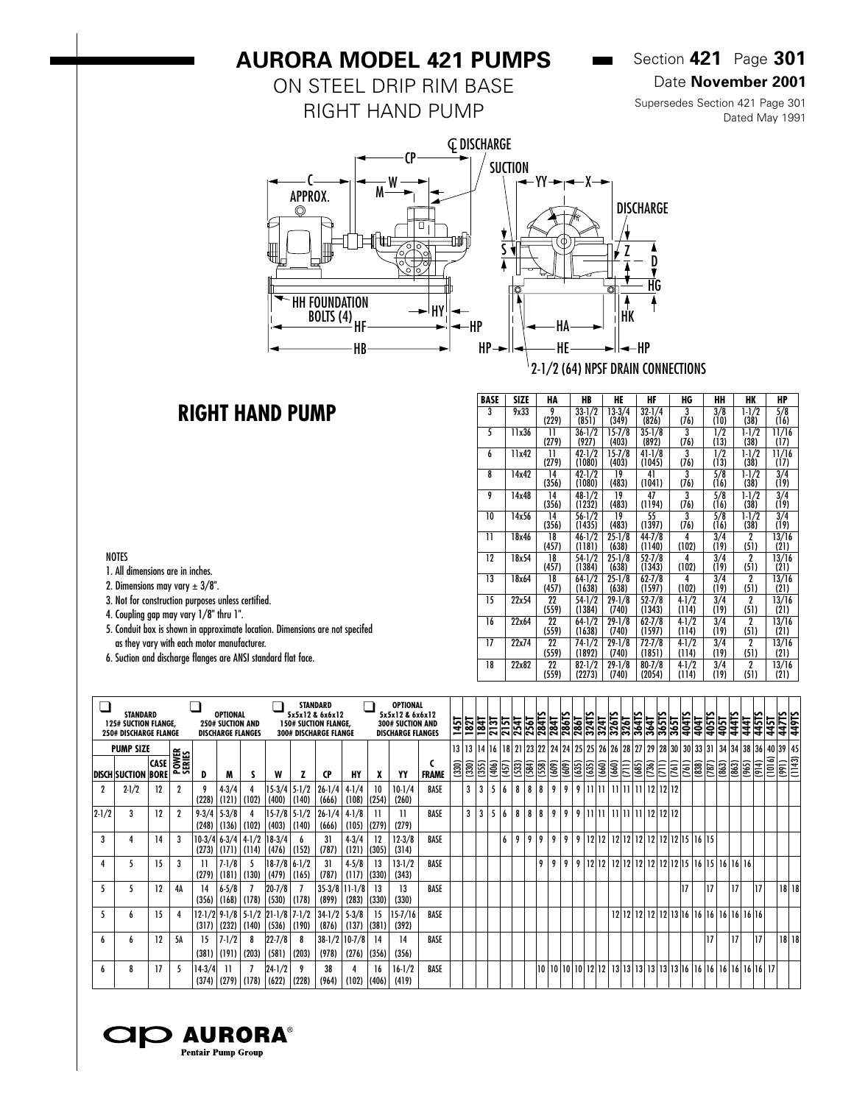## **AURORA MODEL 421 PUMPS**

### ON STEEL DRIP RIM BASE RIGHT HAND PUMP

### Section **421** Page **301**

 $\overline{\phantom{a}}$ 

#### Date **November 2001**

Supersedes Section 421 Page 301 Dated May 1991



### **RIGHT HAND PUMP**

| BASE | SIZE  | HA          | HB                   | HE                  | HF                   | HG                 | HН          | HK                     | HP            |
|------|-------|-------------|----------------------|---------------------|----------------------|--------------------|-------------|------------------------|---------------|
| 3    | 9x33  | 9<br>(229)  | $33-1/2$<br>(851)    | $13-3/4$<br>(349)   | $32 - 1/4$<br>(826)  | 3<br>(76)          | 3/8<br>(10) | $1 - 1/2$<br>(38)      | 5/8<br>(16)   |
| 5    | 11x36 | 11<br>(279) | $36 - 1/2$<br>(927)  | $15 - 7/8$<br>(403) | $35 - 1/8$<br>(892)  | 3<br>(76)          | 1/2<br>(13) | $1 - 1/2$<br>(38)      | 11/16<br>(17) |
| 6    | 11x42 | 11<br>(279) | $42 - 1/2$<br>(1080) | $15 - 7/8$<br>(403) | $41 - 1/8$<br>(1045) | 3<br>(76)          | 1/2<br>(13) | $1-1/2$<br>(38)        | 11/16<br>(17) |
| 8    | 14x42 | 14<br>(356) | $42 - 1/2$<br>(1080) | 19<br>(483)         | 41<br>(1041)         | 3<br>(76)          | 5/8<br>(16) | $1-1/2$<br>(38)        | 3/4<br>(19)   |
| 9    | 14x48 | 14<br>(356) | $48 - 1/2$<br>(1232) | 19<br>(483)         | 47<br>(1194)         | 3<br>(76)          | 5/8<br>(16) | $1 - 1/2$<br>(38)      | 3/4<br>(19)   |
| 10   | 14x56 | 14<br>(356) | $56 - 1/2$<br>(1435) | 19<br>(483)         | 55<br>(1397)         | 3<br>(76)          | 5/8<br>(16) | $1-1/2$<br>(38)        | 3/4<br>(19)   |
| 11   | 18x46 | 18<br>(457) | $46 - 1/2$<br>(1181) | $25 - 1/8$<br>(638) | $44 - 7/8$<br>(1140) | 4<br>(102)         | 3/4<br>(19) | 2<br>(51)              | 13/16<br>(21) |
| 12   | 18x54 | 18<br>(457) | 54-1/2<br>(1384)     | $25 - 1/8$<br>(638) | $52 - 7/8$<br>(1343) | 4<br>(102)         | 3/4<br>(19) | 2<br>(51)              | 13/16<br>(21) |
| 13   | 18x64 | 18<br>(457) | $64-1/2$<br>(1638)   | $25 - 1/8$<br>(638) | $62 - 7/8$<br>(1597) | 4<br>(102)         | 3/4<br>(19) | $\mathbf 2$<br>(51)    | 13/16<br>(21) |
| 15   | 22x54 | 22<br>(559) | $54-1/2$<br>(1384)   | $29 - 1/8$<br>(740) | $52 - 7/8$<br>(1343) | $4-1/2$<br>(114)   | 3/4<br>(19) | $\mathbf{2}$<br>(51)   | 13/16<br>(21) |
| 16   | 22x64 | 22<br>(559) | 64-1/2<br>(1638)     | $29-1/8$<br>(740)   | $62 - 7/8$<br>(1597) | $4 - 1/2$<br>(114) | 3/4<br>(19) | $\mathbf 2$<br>(51)    | 13/16<br>(21) |
| 17   | 22x74 | 22<br>(559) | 74-1/2<br>(1892)     | $29 - 1/8$<br>(740) | $72 - 7/8$<br>(1851) | $4-1/2$<br>(114)   | 3/4<br>(19) | $\overline{2}$<br>(51) | 13/16<br>(21) |
| 18   | 22x82 | 22<br>(559) | $82 - 1/2$<br>(2273) | $29 - 1/8$<br>(740) | $80 - 7/8$<br>(2054) | $4 - 1/2$<br>(114) | 3/4<br>(19) | $\mathbf{2}$<br>(51)   | 13/16<br>(21) |

| $\overline{\phantom{a}}$ |                                                                                |             |                        |                    |                                                                        |                 |                                                       |                                   | <b>STANDARD</b>                                                                |                     |             | OPTIONAL                                                        |              |       |                   |       |       |       |             |                                                                                                                            |                |   |   |                             |  |                                                                                     |                                                                                                                                                                                                                                                                                                                                                                                                                  |              |              |       |                |                                                 |       |       |                   |              |        |
|--------------------------|--------------------------------------------------------------------------------|-------------|------------------------|--------------------|------------------------------------------------------------------------|-----------------|-------------------------------------------------------|-----------------------------------|--------------------------------------------------------------------------------|---------------------|-------------|-----------------------------------------------------------------|--------------|-------|-------------------|-------|-------|-------|-------------|----------------------------------------------------------------------------------------------------------------------------|----------------|---|---|-----------------------------|--|-------------------------------------------------------------------------------------|------------------------------------------------------------------------------------------------------------------------------------------------------------------------------------------------------------------------------------------------------------------------------------------------------------------------------------------------------------------------------------------------------------------|--------------|--------------|-------|----------------|-------------------------------------------------|-------|-------|-------------------|--------------|--------|
|                          | <b>STANDARD</b><br><b>125# SUCTION FLANGE.</b><br><b>250# DISCHARGE FLANGE</b> |             |                        |                    | <b>OPTIONAL</b><br><b>250# SUCTION AND</b><br><b>DISCHARGE FLANGES</b> |                 |                                                       |                                   | 5x5x12 & 6x6x12<br><b>150# SUCTION FLANGE,</b><br><b>300# DISCHARGE FLANGE</b> |                     |             | 5x5x12 & 6x6x12<br>300# SUCTION AND<br><b>DISCHARGE FLANGES</b> |              |       | <u> 권합법</u><br>국회 |       |       | 215T  | 254         | <b>284T</b><br>$256$ T                                                                                                     |                |   |   |                             |  |                                                                                     | $\frac{\frac{1}{1841}}{\frac{1861}{1841}}\overline{\frac{1841}{2441}}\overline{\frac{1241}{2441}}\overline{\frac{1841}{2441}}\overline{\frac{1841}{3641}}\overline{\frac{1851}{1851}}\overline{\frac{18}{181}}\overline{\frac{185}{181}}\overline{\frac{185}{181}}\overline{\frac{185}{181}}\overline{\frac{185}{181}}\overline{\frac{185}{181}}\overline{\frac{185}{181}}\overline{\frac{185}{181}}\overline{\$ |              | 404TS        | 404T  | 405TS<br>1691  | 4415                                            | 441   | 4451. | $\frac{1}{45}$    | 449TS        |        |
|                          | <b>PUMP SIZE</b>                                                               |             |                        |                    |                                                                        |                 |                                                       |                                   |                                                                                |                     |             |                                                                 |              |       | 13 13 14 16       |       |       |       |             | 18   21   23   22   24   24   25   25   26   26   28   27   29   28   30   30   33   31   34   34   38   36   40   39   45 |                |   |   |                             |  |                                                                                     |                                                                                                                                                                                                                                                                                                                                                                                                                  |              |              |       |                |                                                 |       |       |                   |              |        |
|                          | <b>DISCH SUCTION BORE</b>                                                      | <b>CASE</b> | <b>POWER</b><br>SERIES | D                  | M                                                                      |                 | W                                                     |                                   | <b>CP</b>                                                                      | HY                  | x           | YY                                                              | <b>FRAME</b> | (330) | (330)             | (355) | (406) | (457) | $\sqrt{53}$ | (584)<br>$\sqrt{58}$                                                                                                       | $\frac{1}{2}$  |   |   | 9999                        |  | $\frac{1}{2}$ $\frac{1}{2}$ $\frac{1}{2}$ $\frac{1}{2}$ $\frac{1}{2}$ $\frac{1}{2}$ | $\frac{1}{2}$                                                                                                                                                                                                                                                                                                                                                                                                    | $\sqrt{161}$ | $\sqrt{161}$ | (838) | (787)<br>(863) | (863)                                           | (965) |       | $\frac{1}{(914)}$ | $\sqrt{190}$ | (1143) |
| $\mathbf 2$              | $2 - 1/2$                                                                      | 12          | 2                      | (228)              | $4 - 3/4$<br>(121)                                                     | (102)           | (400)                                                 | $15-3/4$ 5-1/2<br>(140)           | $26 - 1/4$<br>(666)                                                            | $4-1/4$<br>(108)    | 10<br>(254) | $10-1/4$<br>(260)                                               | BASE         |       | 3                 | 3     | 5     | 6     | 8           | 8<br>$18-1$                                                                                                                | 9              | 9 |   |                             |  |                                                                                     |                                                                                                                                                                                                                                                                                                                                                                                                                  |              |              |       |                |                                                 |       |       |                   |              |        |
| $2 - 1/2$                | 3                                                                              | 12          | $\mathbf{2}$           | $9 - 3/4$<br>(248) | $5 - 3/8$<br>$(136)$ $(102)$                                           |                 |                                                       | $15-7/8$ 5-1/2<br>$(403)$ $(140)$ | $26 - 1/4$<br>(666)                                                            | $4-1/8$<br>(105)    | 11<br>(279) | (279)                                                           | BASE         |       | $\overline{3}$    | 3     | 5     | 6     | 8           | 8 8                                                                                                                        | 9 <sup>1</sup> | 9 |   |                             |  |                                                                                     |                                                                                                                                                                                                                                                                                                                                                                                                                  |              |              |       |                |                                                 |       |       |                   |              |        |
| 3                        |                                                                                | 14          | 3                      | (273)              | $10-3/4$ 6-3/4 4-1/2                                                   | $(171)$ $(114)$ | $18-3/4$<br>(476)                                     | 6<br>(152)                        | 31<br>(787)                                                                    | $4 - 3/4$<br>(121)  | 12<br>(305) | $12 - 3/8$<br>(314)                                             | BASE         |       |                   |       |       | 6     | 9           | $\overline{9}$<br>9                                                                                                        | 9              | 9 |   |                             |  |                                                                                     |                                                                                                                                                                                                                                                                                                                                                                                                                  |              |              |       |                |                                                 |       |       |                   |              |        |
|                          | ٠,                                                                             | 15          | 3                      | (279)              | $7 - 1/8$                                                              | $(181)$ $(130)$ | (479)                                                 | $18-7/8$ 6-1/2<br>(165)           | 31<br>(787)                                                                    | $4 - 5/8$<br>(117)  | 13<br>(330) | $13 - 1/2$<br>(343)                                             | BASE         |       |                   |       |       |       |             | 9                                                                                                                          | 9              | 9 | 9 | 1212                        |  |                                                                                     |                                                                                                                                                                                                                                                                                                                                                                                                                  |              |              |       |                | 12 12 12 12 12 12 12 15 16 15 16 16 16          |       |       |                   |              |        |
| $5\overline{5}$          | ħ                                                                              | 12          | 4Α                     | 14<br>(356)        | $6 - 5/8$                                                              | $(168)$ (178)   | $20 - 7/8$<br>(530)                                   | (178)                             | $35 - 3/8$<br>(899)                                                            | $ 11-1/8 $<br>(283) | 13<br>(330) | 13<br>(330)                                                     | BASE         |       |                   |       |       |       |             |                                                                                                                            |                |   |   |                             |  |                                                                                     |                                                                                                                                                                                                                                                                                                                                                                                                                  |              | 17           |       | 17             | 17                                              |       | 17    |                   | $18$   18    |        |
|                          | h                                                                              | 15          | 4                      | (317)              |                                                                        | $(232)$ $(140)$ | 12-1/2 9-1/8 5-1/2 21-1/8 7-1/2                       | $(536)$ (190)                     | $34-1/2$<br>(876)                                                              | $5 - 3/8$<br>(137)  | 15<br>(381) | $15 - 7/16$<br>(392)                                            | BASE         |       |                   |       |       |       |             |                                                                                                                            |                |   |   |                             |  |                                                                                     |                                                                                                                                                                                                                                                                                                                                                                                                                  |              |              |       |                | 12 12 12 12 12 13 16 16 16 16 16 16 16          |       |       |                   |              |        |
|                          | h                                                                              | 12          | 5A                     | 15<br>(381)        | $7-1/2$<br>(191)                                                       | (203)           | $22 - 7/8$<br>(581)                                   | 8<br>(203)                        | $38-1/2$ 10-7/8<br>(978)                                                       | (276)               | 14<br>(356) | 14<br>(356)                                                     | BASE         |       |                   |       |       |       |             |                                                                                                                            |                |   |   |                             |  |                                                                                     |                                                                                                                                                                                                                                                                                                                                                                                                                  |              |              |       | 17             | 17                                              |       | 17    |                   | $18$   18    |        |
|                          | 8                                                                              | 17          | 5                      | $14-3/4$           | -11                                                                    |                 | $24 - 1/2$<br>$(374)$ $(279)$ $(178)$ $(622)$ $(228)$ | 9                                 | 38<br>(964)                                                                    | (102)               | 16<br>(406) | $16 - 1/2$<br>(419)                                             | BASE         |       |                   |       |       |       |             |                                                                                                                            |                |   |   | 10   10   10   10   12   12 |  |                                                                                     |                                                                                                                                                                                                                                                                                                                                                                                                                  |              |              |       |                | 13 13 13 13 13 13 13 16 16 16 16 16 16 16 16 17 |       |       |                   |              |        |



#### NOTES

- 1. All dimensions are in inches.
- 2. Dimensions may vary  $\pm 3/8$ ".
- 3. Not for construction purposes unless certified.
- 4. Coupling gap may vary 1/8" thru 1".
- 5. Conduit box is shown in approximate location. Dimensions are not specifed as they vary with each motor manufacturer.
- 6. Suction and discharge flanges are ANSI standard flat face.